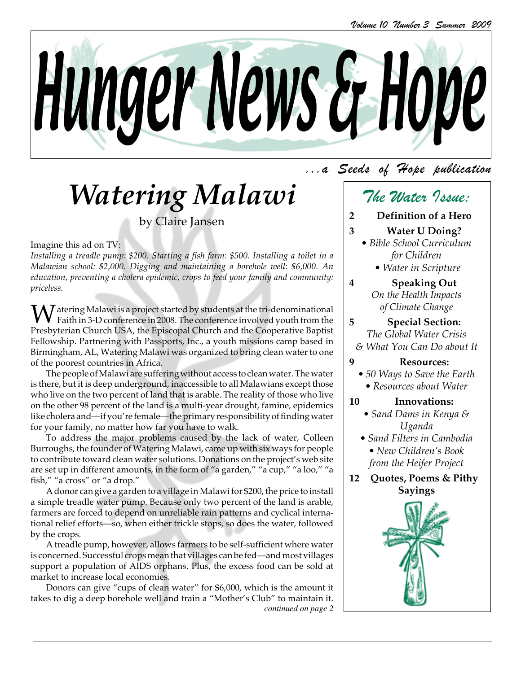

# *Watering Malawi*

by Claire Jansen

#### Imagine this ad on TV:

*Installing a treadle pump: \$200. Starting a fish farm: \$500. Installing a toilet in a Malawian school: \$2,000. Digging and maintaining a borehole well: \$6,000. An education, preventing a cholera epidemic, crops to feed your family and community: priceless.*

 $\bigvee$  atering Malawi is a project started by students at the tri-denominational Faith in 3-D conference in 2008. The conference involved youth from the Presbyterian Church USA, the Episcopal Church and the Cooperative Baptist Fellowship. Partnering with Passports, Inc., a youth missions camp based in Birmingham, AL, Watering Malawi was organized to bring clean water to one of the poorest countries in Africa.

The people of Malawi are suffering without access to clean water. The water is there, but it is deep underground, inaccessible to all Malawians except those who live on the two percent of land that is arable. The reality of those who live on the other 98 percent of the land is a multi-year drought, famine, epidemics like cholera and—if you're female—the primary responsibility of finding water for your family, no matter how far you have to walk.

To address the major problems caused by the lack of water, Colleen Burroughs, the founder of Watering Malawi, came up with six ways for people to contribute toward clean water solutions. Donations on the project's web site are set up in different amounts, in the form of "a garden," "a cup," "a loo," "a fish," "a cross" or "a drop."

A donor can give a garden to a village in Malawi for \$200, the price to install a simple treadle water pump. Because only two percent of the land is arable, farmers are forced to depend on unreliable rain patterns and cyclical international relief efforts—so, when either trickle stops, so does the water, followed by the crops.

A treadle pump, however, allows farmers to be self-sufficient where water is concerned. Successful crops mean that villages can be fed—and most villages support a population of AIDS orphans. Plus, the excess food can be sold at market to increase local economies.

Donors can give "cups of clean water" for \$6,000, which is the amount it takes to dig a deep borehole well and train a "Mother's Club" to maintain it. *continued on page 2*

### ...a Seeds of Hope publication

# The Water Issue:

- **2 Definition of a Hero**
- **3 Water U Doing?**
	- *Bible School Curriculum for Children*
		- *Water in Scripture*
- **4 Speaking Out** *On the Health Impacts of Climate Change*

**5 Special Section:** *The Global Water Crisis & What You Can Do about It*

- **9 Resources:**
	- *50 Ways to Save the Earth • Resources about Water*

### **10 Innovations:**

- *Sand Dams in Kenya & Uganda*
- *Sand Filters in Cambodia • New Children's Book from the Heifer Project*
- **12 Quotes, Poems & Pithy Sayings**

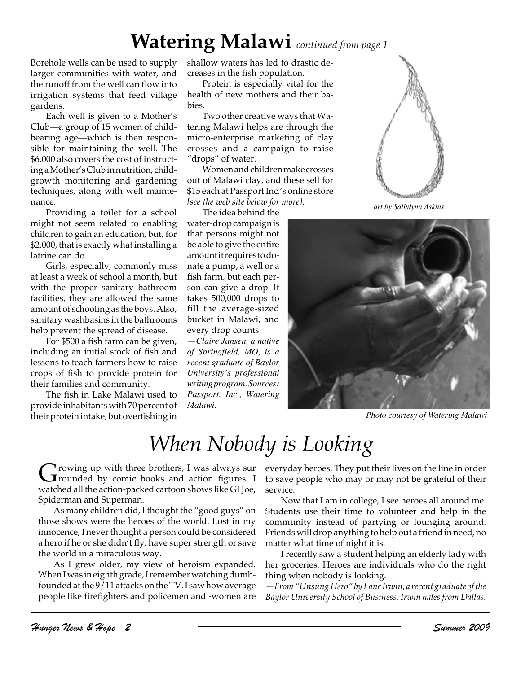# **Watering Malawi** *continued from page 1*

Borehole wells can be used to supply larger communities with water, and the runoff from the well can flow into irrigation systems that feed village gardens.

Each well is given to a Mother's Club—a group of 15 women of childbearing age—which is then responsible for maintaining the well. The \$6,000 also covers the cost of instructing a Mother's Club in nutrition, childgrowth monitoring and gardening techniques, along with well maintenance.

Providing a toilet for a school might not seem related to enabling children to gain an education, but, for \$2,000, that is exactly what installing a latrine can do.

Girls, especially, commonly miss at least a week of school a month, but with the proper sanitary bathroom facilities, they are allowed the same amount of schooling as the boys. Also, sanitary washbasins in the bathrooms help prevent the spread of disease.

For \$500 a fish farm can be given, including an initial stock of fish and lessons to teach farmers how to raise crops of fish to provide protein for their families and community.

The fish in Lake Malawi used to provide inhabitants with 70 percent of their protein intake, but overfishing in

shallow waters has led to drastic decreases in the fish population.

Protein is especially vital for the health of new mothers and their babies.

Two other creative ways that Watering Malawi helps are through the micro-enterprise marketing of clay crosses and a campaign to raise "drops" of water.

Women and children make crosses out of Malawi clay, and these sell for \$15 each at Passport Inc.'s online store *[see the web site below for more].*

The idea behind the water-drop campaign is that persons might not be able to give the entire amount it requires to donate a pump, a well or a fish farm, but each person can give a drop. It takes 500,000 drops to fill the average-sized bucket in Malawi, and every drop counts.

*—Claire Jansen, a native of Springfield, MO, is a recent graduate of Baylor University's professional writing program. Sources: Passport, Inc., Watering Malawi.*



*art by Sallylynn Askins*



*Photo courtesy of Watering Malawi*

# *When Nobody is Looking*

 $\mathbf{G}$  rowing up with three brothers, I was always sur<br>rounded by comic books and action figures. I watched all the action-packed cartoon shows like GI Joe, Spiderman and Superman.

As many children did, I thought the "good guys" on those shows were the heroes of the world. Lost in my innocence, I never thought a person could be considered a hero if he or she didn't fly, have super strength or save the world in a miraculous way.

As I grew older, my view of heroism expanded. When I was in eighth grade, I remember watching dumbfounded at the 9/11 attacks on the TV. I saw how average people like firefighters and policemen and -women are everyday heroes. They put their lives on the line in order to save people who may or may not be grateful of their service.

Now that I am in college, I see heroes all around me. Students use their time to volunteer and help in the community instead of partying or lounging around. Friends will drop anything to help out a friend in need, no matter what time of night it is.

I recently saw a student helping an elderly lady with her groceries. Heroes are individuals who do the right thing when nobody is looking.

*—From "Unsung Hero" by Lane Irwin, a recent graduate of the Baylor University School of Business. Irwin hales from Dallas.*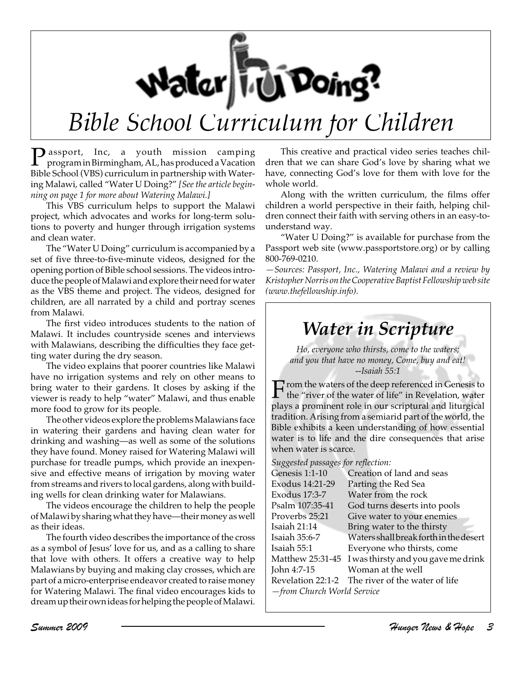Water Te Doing?

# *Bible School Curriculum for Children*

**P** assport, Inc, a youth mission camping<br>program in Birmingham, AL, has produced a Vacation Bible School (VBS) curriculum in partnership with Watering Malawi, called "Water U Doing?" *[See the article beginning on page 1 for more about Watering Malawi.]*

This VBS curriculum helps to support the Malawi project, which advocates and works for long-term solutions to poverty and hunger through irrigation systems and clean water.

The "Water U Doing" curriculum is accompanied by a set of five three-to-five-minute videos, designed for the opening portion of Bible school sessions. The videos introduce the people of Malawi and explore their need for water as the VBS theme and project. The videos, designed for children, are all narrated by a child and portray scenes from Malawi.

The first video introduces students to the nation of Malawi. It includes countryside scenes and interviews with Malawians, describing the difficulties they face getting water during the dry season.

The video explains that poorer countries like Malawi have no irrigation systems and rely on other means to bring water to their gardens. It closes by asking if the viewer is ready to help "water" Malawi, and thus enable more food to grow for its people.

The other videos explore the problems Malawians face in watering their gardens and having clean water for drinking and washing—as well as some of the solutions they have found. Money raised for Watering Malawi will purchase for treadle pumps, which provide an inexpensive and effective means of irrigation by moving water from streams and rivers to local gardens, along with building wells for clean drinking water for Malawians.

The videos encourage the children to help the people of Malawi by sharing what they have—their money as well as their ideas.

The fourth video describes the importance of the cross as a symbol of Jesus' love for us, and as a calling to share that love with others. It offers a creative way to help Malawians by buying and making clay crosses, which are part of a micro-enterprise endeavor created to raise money for Watering Malawi. The final video encourages kids to dream up their own ideas for helping the people of Malawi.

This creative and practical video series teaches children that we can share God's love by sharing what we have, connecting God's love for them with love for the whole world.

Along with the written curriculum, the films offer children a world perspective in their faith, helping children connect their faith with serving others in an easy-tounderstand way.

"Water U Doing?" is available for purchase from the Passport web site (www.passportstore.org) or by calling 800-769-0210.

*—Sources: Passport, Inc., Watering Malawi and a review by Kristopher Norris on the Cooperative Baptist Fellowship web site (www.thefellowship.info).*

## *Water in Scripture*

*Ho, everyone who thirsts, come to the waters; and you that have no money, Come, buy and eat! --Isaiah 55:1*

Trom the waters of the deep referenced in Genesis to the "river of the water of life" in Revelation, water plays a prominent role in our scriptural and liturgical tradition. Arising from a semiarid part of the world, the Bible exhibits a keen understanding of how essential water is to life and the dire consequences that arise when water is scarce.

*Suggested passages for reflection:*

| Genesis 1:1-10             | Creation of land and seas                        |
|----------------------------|--------------------------------------------------|
| Exodus 14:21-29            | Parting the Red Sea                              |
| Exodus 17:3-7              | Water from the rock                              |
| Psalm 107:35-41            | God turns deserts into pools                     |
| Proverbs 25:21             | Give water to your enemies                       |
| Isaiah 21:14               | Bring water to the thirsty                       |
| Isaiah 35:6-7              | Waters shall break forth in the desert           |
| Isaiah 55:1                | Everyone who thirsts, come                       |
| Matthew 25:31-45           | I was thirsty and you gave me drink              |
| John 4:7-15                | Woman at the well                                |
|                            | Revelation 22:1-2 The river of the water of life |
| -from Church World Service |                                                  |
|                            |                                                  |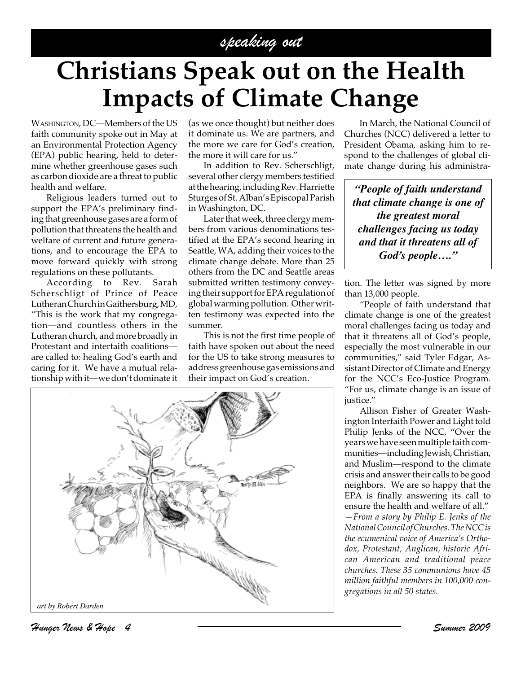## speaking out

# **Christians Speak out on the Health Impacts of Climate Change**

WASHINGTON, DC—Members of the US faith community spoke out in May at an Environmental Protection Agency (EPA) public hearing, held to determine whether greenhouse gases such as carbon dioxide are a threat to public health and welfare.

Religious leaders turned out to support the EPA's preliminary finding that greenhouse gases are a form of pollution that threatens the health and welfare of current and future generations, and to encourage the EPA to move forward quickly with strong regulations on these pollutants.

According to Rev. Sarah Scherschligt of Prince of Peace Lutheran Church in Gaithersburg, MD, "This is the work that my congregation—and countless others in the Lutheran church, and more broadly in Protestant and interfaith coalitions are called to: healing God's earth and caring for it. We have a mutual relationship with it—we don't dominate it (as we once thought) but neither does it dominate us. We are partners, and the more we care for God's creation, the more it will care for us."

In addition to Rev. Scherschligt, several other clergy members testified at the hearing, including Rev. Harriette Sturges of St. Alban's Episcopal Parish in Washington, DC.

Later that week, three clergy members from various denominations testified at the EPA's second hearing in Seattle, WA, adding their voices to the climate change debate. More than 25 others from the DC and Seattle areas submitted written testimony conveying their support for EPA regulation of global warming pollution. Other written testimony was expected into the summer.

This is not the first time people of faith have spoken out about the need for the US to take strong measures to address greenhouse gas emissions and their impact on God's creation.



In March, the National Council of Churches (NCC) delivered a letter to President Obama, asking him to respond to the challenges of global climate change during his administra-

*"People of faith understand that climate change is one of the greatest moral challenges facing us today and that it threatens all of God's people…."*

tion. The letter was signed by more than 13,000 people.

"People of faith understand that climate change is one of the greatest moral challenges facing us today and that it threatens all of God's people, especially the most vulnerable in our communities," said Tyler Edgar, Assistant Director of Climate and Energy for the NCC's Eco-Justice Program. "For us, climate change is an issue of justice."

Allison Fisher of Greater Washington Interfaith Power and Light told Philip Jenks of the NCC, "Over the years we have seen multiple faith communities—including Jewish, Christian, and Muslim—respond to the climate crisis and answer their calls to be good neighbors. We are so happy that the EPA is finally answering its call to ensure the health and welfare of all." *—From a story by Philip E. Jenks of the National Council of Churches. The NCC is the ecumenical voice of America's Orthodox, Protestant, Anglican, historic African American and traditional peace churches. These 35 communions have 45 million faithful members in 100,000 congregations in all 50 states.*

Hunger News & Hope 4 Summer 2009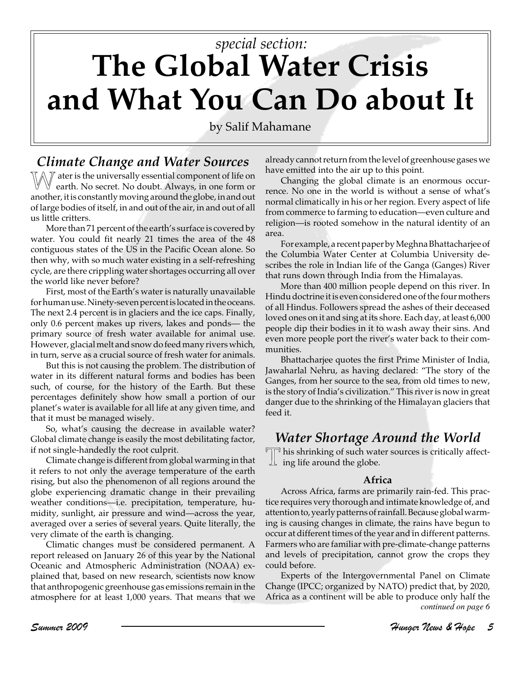# **The Global Water Crisis and What You Can Do about It** *special section:*

by Salif Mahamane

### *Climate Change and Water Sources*

 $\mathbb{W}\mathbb{X}$  ater is the universally essential component of life on earth. No secret. No doubt. Always, in one form or another, it is constantly moving around the globe, in and out of large bodies of itself, in and out of the air, in and out of all us little critters.

More than 71 percent of the earth's surface is covered by water. You could fit nearly 21 times the area of the 48 contiguous states of the US in the Pacific Ocean alone. So then why, with so much water existing in a self-refreshing cycle, are there crippling water shortages occurring all over the world like never before?

First, most of the Earth's water is naturally unavailable for human use. Ninety-seven percent is located in the oceans. The next 2.4 percent is in glaciers and the ice caps. Finally, only 0.6 percent makes up rivers, lakes and ponds— the primary source of fresh water available for animal use. However, glacial melt and snow do feed many rivers which, in turn, serve as a crucial source of fresh water for animals.

But this is not causing the problem. The distribution of water in its different natural forms and bodies has been such, of course, for the history of the Earth. But these percentages definitely show how small a portion of our planet's water is available for all life at any given time, and that it must be managed wisely.

So, what's causing the decrease in available water? Global climate change is easily the most debilitating factor, if not single-handedly the root culprit.

Climate change is different from global warming in that it refers to not only the average temperature of the earth rising, but also the phenomenon of all regions around the globe experiencing dramatic change in their prevailing weather conditions—i.e. precipitation, temperature, humidity, sunlight, air pressure and wind—across the year, averaged over a series of several years. Quite literally, the very climate of the earth is changing.

Climatic changes must be considered permanent. A report released on January 26 of this year by the National Oceanic and Atmospheric Administration (NOAA) explained that, based on new research, scientists now know that anthropogenic greenhouse gas emissions remain in the atmosphere for at least 1,000 years. That means that we

already cannot return from the level of greenhouse gases we have emitted into the air up to this point.

Changing the global climate is an enormous occurrence. No one in the world is without a sense of what's normal climatically in his or her region. Every aspect of life from commerce to farming to education—even culture and religion—is rooted somehow in the natural identity of an area.

For example, a recent paper by Meghna Bhattacharjee of the Columbia Water Center at Columbia University describes the role in Indian life of the Ganga (Ganges) River that runs down through India from the Himalayas.

More than 400 million people depend on this river. In Hindu doctrine it is even considered one of the four mothers of all Hindus. Followers spread the ashes of their deceased loved ones on it and sing at its shore. Each day, at least 6,000 people dip their bodies in it to wash away their sins. And even more people port the river's water back to their communities.

Bhattacharjee quotes the first Prime Minister of India, Jawaharlal Nehru, as having declared: "The story of the Ganges, from her source to the sea, from old times to new, is the story of India's civilization." This river is now in great danger due to the shrinking of the Himalayan glaciers that feed it.

### *Water Shortage Around the World*

 $\P$ his shrinking of such water sources is critically affect- $\perp$  ing life around the globe.

#### **Africa**

Across Africa, farms are primarily rain-fed. This practice requires very thorough and intimate knowledge of, and attention to, yearly patterns of rainfall. Because global warming is causing changes in climate, the rains have begun to occur at different times of the year and in different patterns. Farmers who are familiar with pre-climate-change patterns and levels of precipitation, cannot grow the crops they could before.

Experts of the Intergovernmental Panel on Climate Change (IPCC; organized by NATO) predict that, by 2020, Africa as a continent will be able to produce only half the *continued on page 6*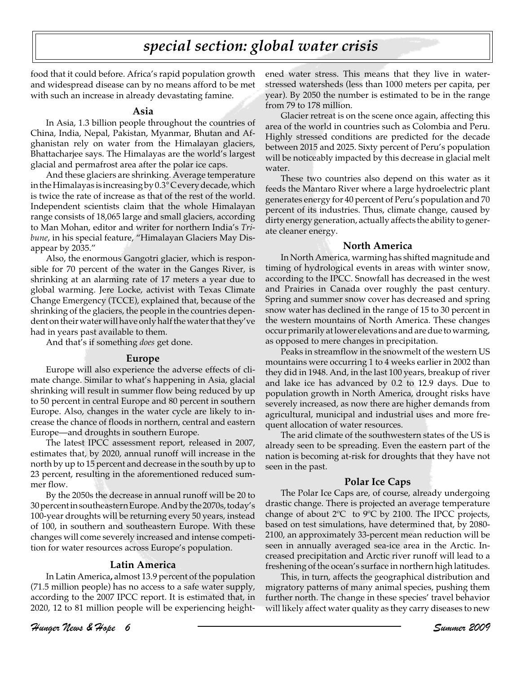## *special section: global water crisis*

food that it could before. Africa's rapid population growth and widespread disease can by no means afford to be met with such an increase in already devastating famine.

#### **Asia**

In Asia, 1.3 billion people throughout the countries of China, India, Nepal, Pakistan, Myanmar, Bhutan and Afghanistan rely on water from the Himalayan glaciers, Bhattacharjee says. The Himalayas are the world's largest glacial and permafrost area after the polar ice caps.

And these glaciers are shrinking. Average temperature in the Himalayas is increasing by 0.3° C every decade, which is twice the rate of increase as that of the rest of the world. Independent scientists claim that the whole Himalayan range consists of 18,065 large and small glaciers, according to Man Mohan, editor and writer for northern India's *Tribune*, in his special feature, "Himalayan Glaciers May Disappear by 2035."

Also, the enormous Gangotri glacier, which is responsible for 70 percent of the water in the Ganges River, is shrinking at an alarming rate of 17 meters a year due to global warming. Jere Locke, activist with Texas Climate Change Emergency (TCCE), explained that, because of the shrinking of the glaciers, the people in the countries dependent on their water will have only half the water that they've had in years past available to them.

And that's if something *does* get done.

#### **Europe**

Europe will also experience the adverse effects of climate change. Similar to what's happening in Asia, glacial shrinking will result in summer flow being reduced by up to 50 percent in central Europe and 80 percent in southern Europe. Also, changes in the water cycle are likely to increase the chance of floods in northern, central and eastern Europe—and droughts in southern Europe.

The latest IPCC assessment report, released in 2007, estimates that, by 2020, annual runoff will increase in the north by up to 15 percent and decrease in the south by up to 23 percent, resulting in the aforementioned reduced summer flow.

By the 2050s the decrease in annual runoff will be 20 to 30 percent in southeastern Europe. And by the 2070s, today's 100-year droughts will be returning every 50 years, instead of 100, in southern and southeastern Europe. With these changes will come severely increased and intense competition for water resources across Europe's population.

#### **Latin America**

In Latin America**,** almost 13.9 percent of the population (71.5 million people) has no access to a safe water supply, according to the 2007 IPCC report. It is estimated that, in 2020, 12 to 81 million people will be experiencing heightened water stress. This means that they live in waterstressed watersheds (less than 1000 meters per capita, per year). By 2050 the number is estimated to be in the range from 79 to 178 million.

Glacier retreat is on the scene once again, affecting this area of the world in countries such as Colombia and Peru. Highly stressed conditions are predicted for the decade between 2015 and 2025. Sixty percent of Peru's population will be noticeably impacted by this decrease in glacial melt water.

These two countries also depend on this water as it feeds the Mantaro River where a large hydroelectric plant generates energy for 40 percent of Peru's population and 70 percent of its industries. Thus, climate change, caused by dirty energy generation, actually affects the ability to generate cleaner energy.

#### **North America**

In North America, warming has shifted magnitude and timing of hydrological events in areas with winter snow, according to the IPCC. Snowfall has decreased in the west and Prairies in Canada over roughly the past century. Spring and summer snow cover has decreased and spring snow water has declined in the range of 15 to 30 percent in the western mountains of North America. These changes occur primarily at lower elevations and are due to warming, as opposed to mere changes in precipitation.

Peaks in streamflow in the snowmelt of the western US mountains were occurring 1 to 4 weeks earlier in 2002 than they did in 1948. And, in the last 100 years, breakup of river and lake ice has advanced by 0.2 to 12.9 days. Due to population growth in North America, drought risks have severely increased, as now there are higher demands from agricultural, municipal and industrial uses and more frequent allocation of water resources.

The arid climate of the southwestern states of the US is already seen to be spreading. Even the eastern part of the nation is becoming at-risk for droughts that they have not seen in the past.

#### **Polar Ice Caps**

The Polar Ice Caps are, of course, already undergoing drastic change. There is projected an average temperature change of about 2ºC to 9ºC by 2100. The IPCC projects, based on test simulations, have determined that, by 2080- 2100, an approximately 33-percent mean reduction will be seen in annually averaged sea-ice area in the Arctic. Increased precipitation and Arctic river runoff will lead to a freshening of the ocean's surface in northern high latitudes.

This, in turn, affects the geographical distribution and migratory patterns of many animal species, pushing them further north. The change in these species' travel behavior will likely affect water quality as they carry diseases to new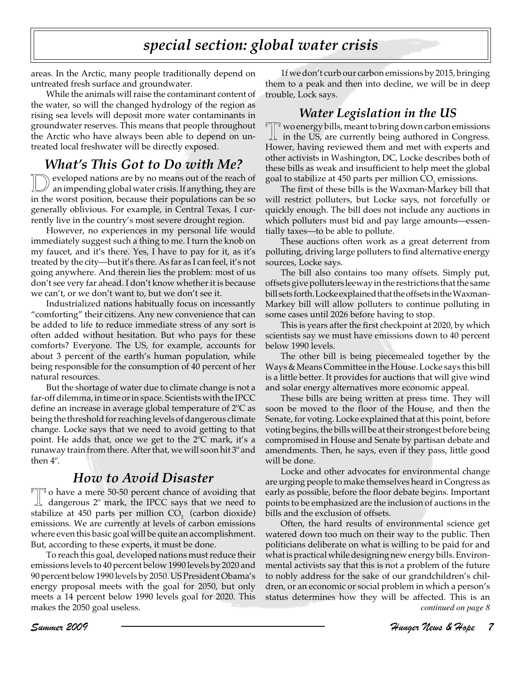## *special section: global water crisis*

areas. In the Arctic, many people traditionally depend on untreated fresh surface and groundwater.

While the animals will raise the contaminant content of the water, so will the changed hydrology of the region as rising sea levels will deposit more water contaminants in groundwater reserves. This means that people throughout the Arctic who have always been able to depend on untreated local freshwater will be directly exposed.

## *What's This Got to Do with Me?*

eveloped nations are by no means out of the reach of an impending global water crisis. If anything, they are in the worst position, because their populations can be so generally oblivious. For example, in Central Texas, I currently live in the country's most severe drought region.

However, no experiences in my personal life would immediately suggest such a thing to me. I turn the knob on my faucet, and it's there. Yes, I have to pay for it, as it's treated by the city—but it's there. As far as I can feel, it's not going anywhere. And therein lies the problem: most of us don't see very far ahead. I don't know whether it is because we can't, or we don't want to, but we don't see it.

Industrialized nations habitually focus on incessantly "comforting" their citizens. Any new convenience that can be added to life to reduce immediate stress of any sort is often added without hesitation. But who pays for these comforts? Everyone. The US, for example, accounts for about 3 percent of the earth's human population, while being responsible for the consumption of 40 percent of her natural resources.

But the shortage of water due to climate change is not a far-off dilemma, in time or in space. Scientists with the IPCC define an increase in average global temperature of 2ºC as being the threshold for reaching levels of dangerous climate change. Locke says that we need to avoid getting to that point. He adds that, once we get to the 2ºC mark, it's a runaway train from there. After that, we will soon hit 3º and then 4º.

### *How to Avoid Disaster*

 $\Box$  o have a mere 50-50 percent chance of avoiding that dangerous 2º mark, the IPCC says that we need to stabilize at  $450$  parts per million  $CO<sub>2</sub>$  (carbon dioxide) emissions. We are currently at levels of carbon emissions where even this basic goal will be quite an accomplishment. But, according to these experts, it must be done.

To reach this goal, developed nations must reduce their emissions levels to 40 percent below 1990 levels by 2020 and 90 percent below 1990 levels by 2050. US President Obama's energy proposal meets with the goal for 2050, but only meets a 14 percent below 1990 levels goal for 2020. This makes the 2050 goal useless. *continued on page 8*

1f we don't curb our carbon emissions by 2015, bringing them to a peak and then into decline, we will be in deep trouble, Lock says.

### *Water Legislation in the US*

T wo energy bills, meant to bring down carbon emissions in the US, are currently being authored in Congress. Hower, having reviewed them and met with experts and other activists in Washington, DC, Locke describes both of these bills as weak and insufficient to help meet the global goal to stabilize at 450 parts per million  $CO<sub>2</sub>$  emissions.

The first of these bills is the Waxman-Markey bill that will restrict polluters, but Locke says, not forcefully or quickly enough. The bill does not include any auctions in which polluters must bid and pay large amounts—essentially taxes—to be able to pollute.

These auctions often work as a great deterrent from polluting, driving large polluters to find alternative energy sources, Locke says.

The bill also contains too many offsets. Simply put, offsets give polluters leeway in the restrictions that the same bill sets forth. Locke explained that the offsets in the Waxman-Markey bill will allow polluters to continue polluting in some cases until 2026 before having to stop.

This is years after the first checkpoint at 2020, by which scientists say we must have emissions down to 40 percent below 1990 levels.

The other bill is being piecemealed together by the Ways & Means Committee in the House. Locke says this bill is a little better. It provides for auctions that will give wind and solar energy alternatives more economic appeal.

These bills are being written at press time. They will soon be moved to the floor of the House, and then the Senate, for voting. Locke explained that at this point, before voting begins, the bills will be at their strongest before being compromised in House and Senate by partisan debate and amendments. Then, he says, even if they pass, little good will be done.

Locke and other advocates for environmental change are urging people to make themselves heard in Congress as early as possible, before the floor debate begins. Important points to be emphasized are the inclusion of auctions in the bills and the exclusion of offsets.

Often, the hard results of environmental science get watered down too much on their way to the public. Then politicians deliberate on what is willing to be paid for and what is practical while designing new energy bills. Environmental activists say that this is not a problem of the future to nobly address for the sake of our grandchildren's children, or an economic or social problem in which a person's status determines how they will be affected. This is an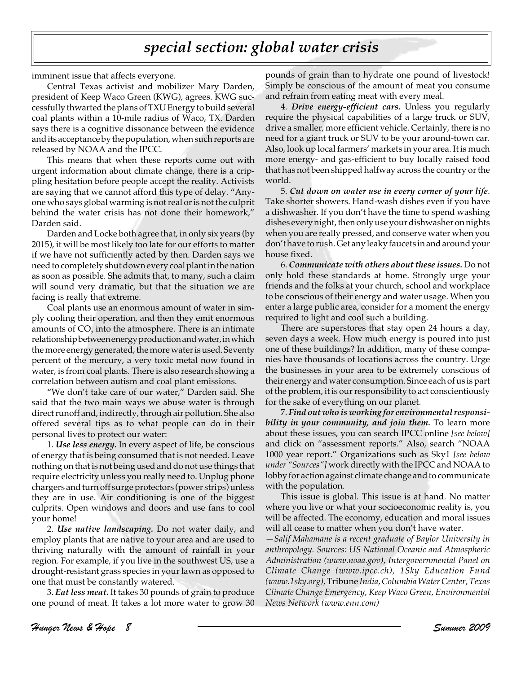## *special section: global water crisis*

imminent issue that affects everyone.

Central Texas activist and mobilizer Mary Darden, president of Keep Waco Green (KWG), agrees. KWG successfully thwarted the plans of TXU Energy to build several coal plants within a 10-mile radius of Waco, TX. Darden says there is a cognitive dissonance between the evidence and its acceptance by the population, when such reports are released by NOAA and the IPCC.

This means that when these reports come out with urgent information about climate change, there is a crippling hesitation before people accept the reality. Activists are saying that we cannot afford this type of delay. "Anyone who says global warming is not real or is not the culprit behind the water crisis has not done their homework," Darden said.

Darden and Locke both agree that, in only six years (by 2015), it will be most likely too late for our efforts to matter if we have not sufficiently acted by then. Darden says we need to completely shut down every coal plant in the nation as soon as possible. She admits that, to many, such a claim will sound very dramatic, but that the situation we are facing is really that extreme.

Coal plants use an enormous amount of water in simply cooling their operation, and then they emit enormous amounts of  $\mathrm{CO}_2^{}$  into the atmosphere. There is an intimate relationship between energy production and water, in which the more energy generated, the more water is used. Seventy percent of the mercury, a very toxic metal now found in water, is from coal plants. There is also research showing a correlation between autism and coal plant emissions.

"We don't take care of our water," Darden said. She said that the two main ways we abuse water is through direct runoff and, indirectly, through air pollution. She also offered several tips as to what people can do in their personal lives to protect our water:

1. *Use less energy.* In every aspect of life, be conscious of energy that is being consumed that is not needed. Leave nothing on that is not being used and do not use things that require electricity unless you really need to. Unplug phone chargers and turn off surge protectors (power strips) unless they are in use. Air conditioning is one of the biggest culprits. Open windows and doors and use fans to cool your home!

2. *Use native landscaping.* Do not water daily, and employ plants that are native to your area and are used to thriving naturally with the amount of rainfall in your region. For example, if you live in the southwest US, use a drought-resistant grass species in your lawn as opposed to one that must be constantly watered.

3. *Eat less meat.* It takes 30 pounds of grain to produce one pound of meat. It takes a lot more water to grow 30

pounds of grain than to hydrate one pound of livestock! Simply be conscious of the amount of meat you consume and refrain from eating meat with every meal.

4. *Drive energy-efficient cars.* Unless you regularly require the physical capabilities of a large truck or SUV, drive a smaller, more efficient vehicle. Certainly, there is no need for a giant truck or SUV to be your around-town car. Also, look up local farmers' markets in your area. It is much more energy- and gas-efficient to buy locally raised food that has not been shipped halfway across the country or the world.

5. *Cut down on water use in every corner of your life*. Take shorter showers. Hand-wash dishes even if you have a dishwasher. If you don't have the time to spend washing dishes every night, then only use your dishwasher on nights when you are really pressed, and conserve water when you don't have to rush. Get any leaky faucets in and around your house fixed.

6. *Communicate with others about these issues.* Do not only hold these standards at home. Strongly urge your friends and the folks at your church, school and workplace to be conscious of their energy and water usage. When you enter a large public area, consider for a moment the energy required to light and cool such a building.

There are superstores that stay open 24 hours a day, seven days a week. How much energy is poured into just one of these buildings? In addition, many of these companies have thousands of locations across the country. Urge the businesses in your area to be extremely conscious of their energy and water consumption. Since each of us is part of the problem, it is our responsibility to act conscientiously for the sake of everything on our planet.

7. *Find out who is working for environmental responsibility in your community, and join them.* To learn more about these issues, you can search IPCC online *[see below]* and click on "assessment reports." Also, search "NOAA 1000 year report." Organizations such as Sky1 *[see below under "Sources"]* work directly with the IPCC and NOAA to lobby for action against climate change and to communicate with the population.

This issue is global. This issue is at hand. No matter where you live or what your socioeconomic reality is, you will be affected. The economy, education and moral issues will all cease to matter when you don't have water.

*—Salif Mahamane is a recent graduate of Baylor University in anthropology. Sources: US National Oceanic and Atmospheric Administration (www.noaa.gov), Intergovernmental Panel on Climate Change (www.ipcc.ch), 1Sky Education Fund (www.1sky.org),* Tribune *India, Columbia Water Center, Texas Climate Change Emergency, Keep Waco Green, Environmental News Network (www.enn.com)*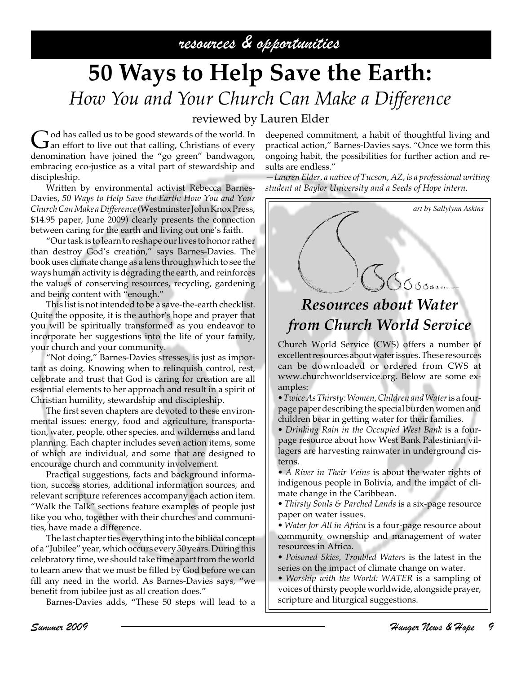## resources & opportunities

# **50 Ways to Help Save the Earth:** *How You and Your Church Can Make a Difference*

### reviewed by Lauren Elder

God has called us to be good stewards of the world. In an effort to live out that calling, Christians of every denomination have joined the "go green" bandwagon, embracing eco-justice as a vital part of stewardship and discipleship.

Written by environmental activist Rebecca Barnes-Davies, *50 Ways to Help Save the Earth: How You and Your Church Can Make a Difference* (Westminster John Knox Press, \$14.95 paper, June 2009) clearly presents the connection between caring for the earth and living out one's faith.

"Our task is to learn to reshape our lives to honor rather than destroy God's creation," says Barnes-Davies. The book uses climate change as a lens through which to see the ways human activity is degrading the earth, and reinforces the values of conserving resources, recycling, gardening and being content with "enough."

This list is not intended to be a save-the-earth checklist. Quite the opposite, it is the author's hope and prayer that you will be spiritually transformed as you endeavor to incorporate her suggestions into the life of your family, your church and your community.

"Not doing," Barnes-Davies stresses, is just as important as doing. Knowing when to relinquish control, rest, celebrate and trust that God is caring for creation are all essential elements to her approach and result in a spirit of Christian humility, stewardship and discipleship.

The first seven chapters are devoted to these environmental issues: energy, food and agriculture, transportation, water, people, other species, and wilderness and land planning. Each chapter includes seven action items, some of which are individual, and some that are designed to encourage church and community involvement.

Practical suggestions, facts and background information, success stories, additional information sources, and relevant scripture references accompany each action item. "Walk the Talk" sections feature examples of people just like you who, together with their churches and communities, have made a difference.

The last chapter ties everything into the biblical concept of a "Jubilee" year, which occurs every 50 years. During this celebratory time, we should take time apart from the world to learn anew that we must be filled by God before we can fill any need in the world. As Barnes-Davies says, "we benefit from jubilee just as all creation does."

Barnes-Davies adds, "These 50 steps will lead to a

deepened commitment, a habit of thoughtful living and practical action," Barnes-Davies says. "Once we form this ongoing habit, the possibilities for further action and results are endless."

*—Lauren Elder, a native of Tucson, AZ, is a professional writing student at Baylor University and a Seeds of Hope intern.*



## *Resources about Water from Church World Service*

Church World Service (CWS) offers a number of excellent resources about water issues. These resources can be downloaded or ordered from CWS at www.churchworldservice.org. Below are some examples:

*• Twice As Thirsty: Women, Children and Water* is a fourpage paper describing the special burden women and children bear in getting water for their families.

*• Drinking Rain in the Occupied West Bank* is a fourpage resource about how West Bank Palestinian villagers are harvesting rainwater in underground cisterns.

*• A River in Their Veins* is about the water rights of indigenous people in Bolivia, and the impact of climate change in the Caribbean.

*• Thirsty Souls & Parched Lands* is a six-page resource paper on water issues.

*• Water for All in Africa* is a four-page resource about community ownership and management of water resources in Africa.

*• Poisoned Skies, Troubled Waters* is the latest in the series on the impact of climate change on water.

*• Worship with the World: WATER* is a sampling of voices of thirsty people worldwide, alongside prayer, scripture and liturgical suggestions.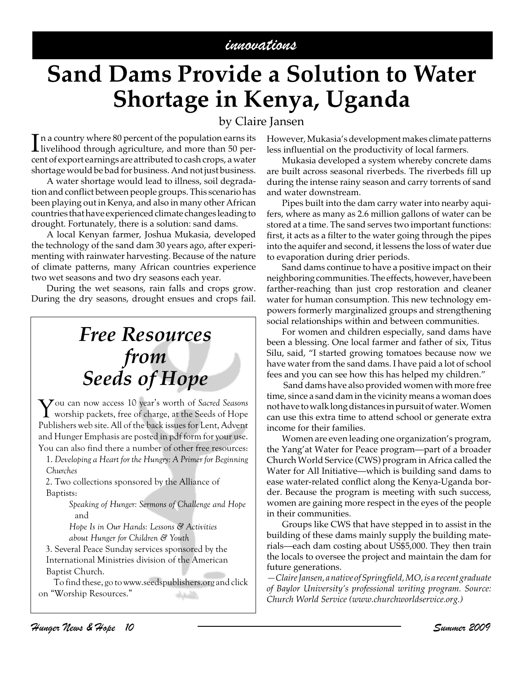# **Sand Dams Provide a Solution to Water Shortage in Kenya, Uganda**

### by Claire Jansen

In a country where 80 percent of the population earns its<br>livelihood through agriculture, and more than 50 per-<br>sunta formant comines agree this hold to seek more a sustain livelihood through agriculture, and more than 50 percent of export earnings are attributed to cash crops, a water shortage would be bad for business. And not just business.

A water shortage would lead to illness, soil degradation and conflict between people groups. This scenario has been playing out in Kenya, and also in many other African countries that have experienced climate changes leading to drought. Fortunately, there is a solution: sand dams.

A local Kenyan farmer, Joshua Mukasia, developed the technology of the sand dam 30 years ago, after experimenting with rainwater harvesting. Because of the nature of climate patterns, many African countries experience two wet seasons and two dry seasons each year.

During the wet seasons, rain falls and crops grow. During the dry seasons, drought ensues and crops fail.

# *Free Resources from Seeds of Hope*

You can now access 10 year's worth of *Sacred Seasons* worship packets, free of charge, at the Seeds of Hope Publishers web site. All of the back issues for Lent, Advent and Hunger Emphasis are posted in pdf form for your use. You can also find there a number of other free resources:

 1. *Developing a Heart for the Hungry: A Primer for Beginning Churches*

 2. Two collections sponsored by the Alliance of Baptists:

> *Speaking of Hunger: Sermons of Challenge and Hope* and

*Hope Is in Our Hands: Lessons & Activities about Hunger for Children & Youth*

 3. Several Peace Sunday services sponsored by the International Ministries division of the American Baptist Church.

To find these, go to www.seedspublishers.org and click on "Worship Resources."الأساراء

However, Mukasia's development makes climate patterns less influential on the productivity of local farmers.

Mukasia developed a system whereby concrete dams are built across seasonal riverbeds. The riverbeds fill up during the intense rainy season and carry torrents of sand and water downstream.

Pipes built into the dam carry water into nearby aquifers, where as many as 2.6 million gallons of water can be stored at a time. The sand serves two important functions: first, it acts as a filter to the water going through the pipes into the aquifer and second, it lessens the loss of water due to evaporation during drier periods.

Sand dams continue to have a positive impact on their neighboring communities. The effects, however, have been farther-reaching than just crop restoration and cleaner water for human consumption. This new technology empowers formerly marginalized groups and strengthening social relationships within and between communities.

For women and children especially, sand dams have been a blessing. One local farmer and father of six, Titus Silu, said, "I started growing tomatoes because now we have water from the sand dams. I have paid a lot of school fees and you can see how this has helped my children."

 Sand dams have also provided women with more free time, since a sand dam in the vicinity means a woman does not have to walk long distances in pursuit of water. Women can use this extra time to attend school or generate extra income for their families.

Women are even leading one organization's program, the Yang'at Water for Peace program—part of a broader Church World Service (CWS) program in Africa called the Water for All Initiative—which is building sand dams to ease water-related conflict along the Kenya-Uganda border. Because the program is meeting with such success, women are gaining more respect in the eyes of the people in their communities.

Groups like CWS that have stepped in to assist in the building of these dams mainly supply the building materials—each dam costing about US\$5,000. They then train the locals to oversee the project and maintain the dam for future generations.

*—Claire Jansen, a native of Springfield, MO, is a recent graduate of Baylor University's professional writing program. Source: Church World Service (www.churchworldservice.org.)*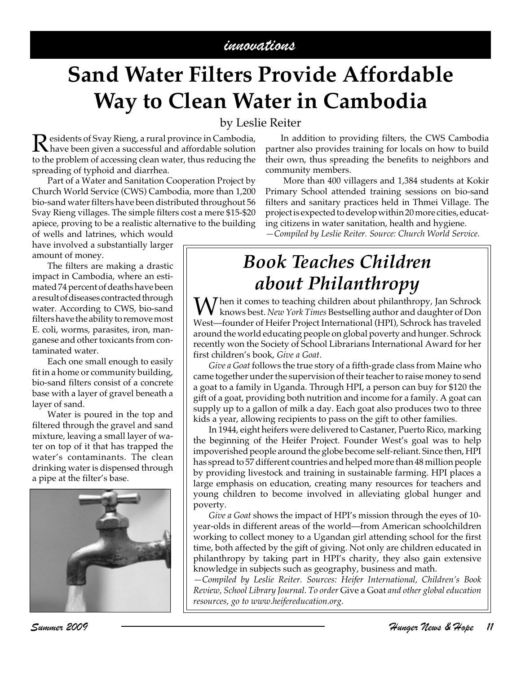### innovations

# **Sand Water Filters Provide Affordable Way to Clean Water in Cambodia**

### by Leslie Reiter

Residents of Svay Rieng, a rural province in Cambodia,<br>have been given a successful and affordable solution<br>to the multipulation of conceive also protes the multipulation that to the problem of accessing clean water, thus reducing the spreading of typhoid and diarrhea.

Part of a Water and Sanitation Cooperation Project by Church World Service (CWS) Cambodia, more than 1,200 bio-sand water filters have been distributed throughout 56 Svay Rieng villages. The simple filters cost a mere \$15-\$20 apiece, proving to be a realistic alternative to the building

of wells and latrines, which would have involved a substantially larger amount of money.

The filters are making a drastic impact in Cambodia, where an estimated 74 percent of deaths have been a result of diseases contracted through water. According to CWS, bio-sand filters have the ability to remove most E. coli, worms, parasites, iron, manganese and other toxicants from contaminated water.

Each one small enough to easily fit in a home or community building, bio-sand filters consist of a concrete base with a layer of gravel beneath a layer of sand.

Water is poured in the top and filtered through the gravel and sand mixture, leaving a small layer of water on top of it that has trapped the water's contaminants. The clean drinking water is dispensed through a pipe at the filter's base.



In addition to providing filters, the CWS Cambodia partner also provides training for locals on how to build their own, thus spreading the benefits to neighbors and community members.

 More than 400 villagers and 1,384 students at Kokir Primary School attended training sessions on bio-sand filters and sanitary practices held in Thmei Village. The project is expected to develop within 20 more cities, educating citizens in water sanitation, health and hygiene.

*—Compiled by Leslie Reiter. Source: Church World Service.*

## *Book Teaches Children about Philanthropy*

 $\boldsymbol{M}$ hen it comes to teaching children about philanthropy, Jan Schrock knows best. *New York Times* Bestselling author and daughter of Don West—founder of Heifer Project International (HPI), Schrock has traveled around the world educating people on global poverty and hunger. Schrock recently won the Society of School Librarians International Award for her first children's book, *Give a Goat*.

*Give a Goat* follows the true story of a fifth-grade class from Maine who came together under the supervision of their teacher to raise money to send a goat to a family in Uganda. Through HPI, a person can buy for \$120 the gift of a goat, providing both nutrition and income for a family. A goat can supply up to a gallon of milk a day. Each goat also produces two to three kids a year, allowing recipients to pass on the gift to other families.

In 1944, eight heifers were delivered to Castaner, Puerto Rico, marking the beginning of the Heifer Project. Founder West's goal was to help impoverished people around the globe become self-reliant. Since then, HPI has spread to 57 different countries and helped more than 48 million people by providing livestock and training in sustainable farming. HPI places a large emphasis on education, creating many resources for teachers and young children to become involved in alleviating global hunger and poverty.

*Give a Goat* shows the impact of HPI's mission through the eyes of 10 year-olds in different areas of the world—from American schoolchildren working to collect money to a Ugandan girl attending school for the first time, both affected by the gift of giving. Not only are children educated in philanthropy by taking part in HPI's charity, they also gain extensive knowledge in subjects such as geography, business and math.

*—Compiled by Leslie Reiter. Sources: Heifer International, Children's Book Review, School Library Journal. To order* Give a Goat *and other global education resources, go to www.heifereducation.org.*